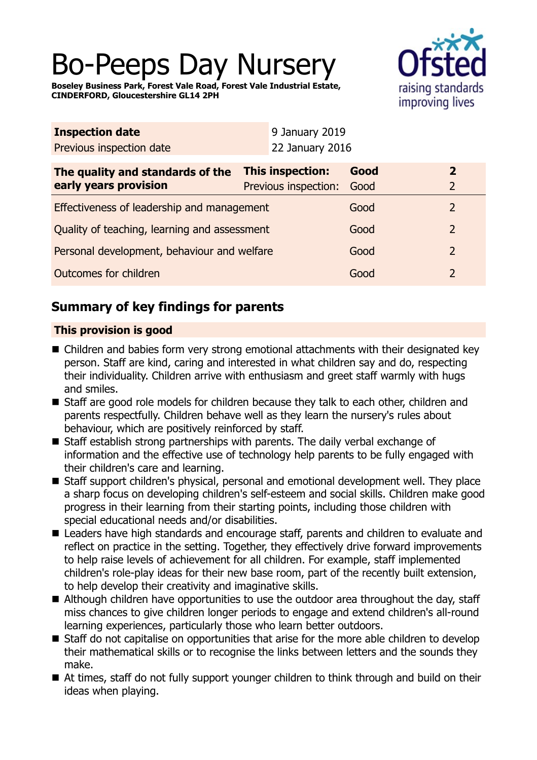# Bo-Peeps Day Nursery

**Boseley Business Park, Forest Vale Road, Forest Vale Industrial Estate, CINDERFORD, Gloucestershire GL14 2PH**



| <b>Inspection date</b>                       |  | 9 January 2019          |      |  |                |
|----------------------------------------------|--|-------------------------|------|--|----------------|
| Previous inspection date                     |  | 22 January 2016         |      |  |                |
| The quality and standards of the             |  | <b>This inspection:</b> | Good |  | $\overline{2}$ |
| early years provision                        |  | Previous inspection:    | Good |  | $\overline{2}$ |
| Effectiveness of leadership and management   |  |                         | Good |  | $\overline{2}$ |
| Quality of teaching, learning and assessment |  |                         | Good |  | $\overline{2}$ |
| Personal development, behaviour and welfare  |  |                         | Good |  | $\overline{2}$ |
| Outcomes for children                        |  |                         | Good |  | $\overline{2}$ |

# **Summary of key findings for parents**

## **This provision is good**

- Children and babies form very strong emotional attachments with their designated key person. Staff are kind, caring and interested in what children say and do, respecting their individuality. Children arrive with enthusiasm and greet staff warmly with hugs and smiles.
- Staff are good role models for children because they talk to each other, children and parents respectfully. Children behave well as they learn the nursery's rules about behaviour, which are positively reinforced by staff.
- Staff establish strong partnerships with parents. The daily verbal exchange of information and the effective use of technology help parents to be fully engaged with their children's care and learning.
- Staff support children's physical, personal and emotional development well. They place a sharp focus on developing children's self-esteem and social skills. Children make good progress in their learning from their starting points, including those children with special educational needs and/or disabilities.
- Leaders have high standards and encourage staff, parents and children to evaluate and reflect on practice in the setting. Together, they effectively drive forward improvements to help raise levels of achievement for all children. For example, staff implemented children's role-play ideas for their new base room, part of the recently built extension, to help develop their creativity and imaginative skills.
- Although children have opportunities to use the outdoor area throughout the day, staff miss chances to give children longer periods to engage and extend children's all-round learning experiences, particularly those who learn better outdoors.
- Staff do not capitalise on opportunities that arise for the more able children to develop their mathematical skills or to recognise the links between letters and the sounds they make.
- $\blacksquare$  At times, staff do not fully support younger children to think through and build on their ideas when playing.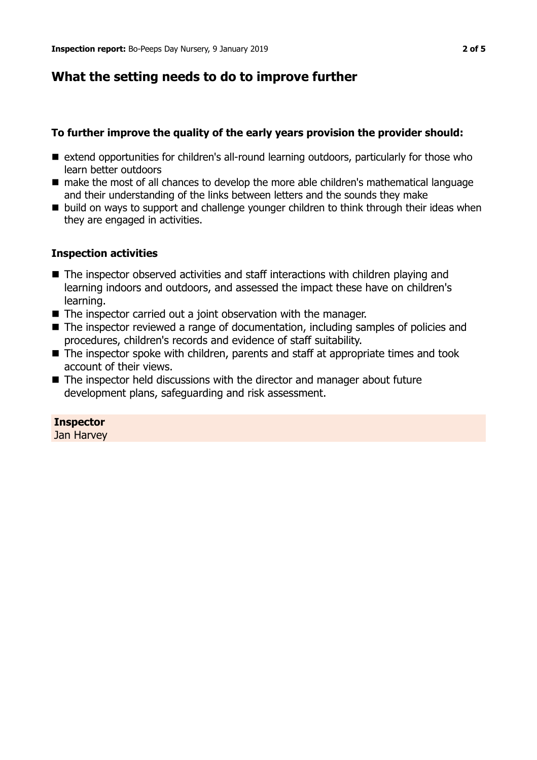# **What the setting needs to do to improve further**

## **To further improve the quality of the early years provision the provider should:**

- $\blacksquare$  extend opportunities for children's all-round learning outdoors, particularly for those who learn better outdoors
- $\blacksquare$  make the most of all chances to develop the more able children's mathematical language and their understanding of the links between letters and the sounds they make
- build on ways to support and challenge younger children to think through their ideas when they are engaged in activities.

## **Inspection activities**

- $\blacksquare$  The inspector observed activities and staff interactions with children playing and learning indoors and outdoors, and assessed the impact these have on children's learning.
- $\blacksquare$  The inspector carried out a joint observation with the manager.
- The inspector reviewed a range of documentation, including samples of policies and procedures, children's records and evidence of staff suitability.
- $\blacksquare$  The inspector spoke with children, parents and staff at appropriate times and took account of their views.
- The inspector held discussions with the director and manager about future development plans, safeguarding and risk assessment.

## **Inspector**

Jan Harvey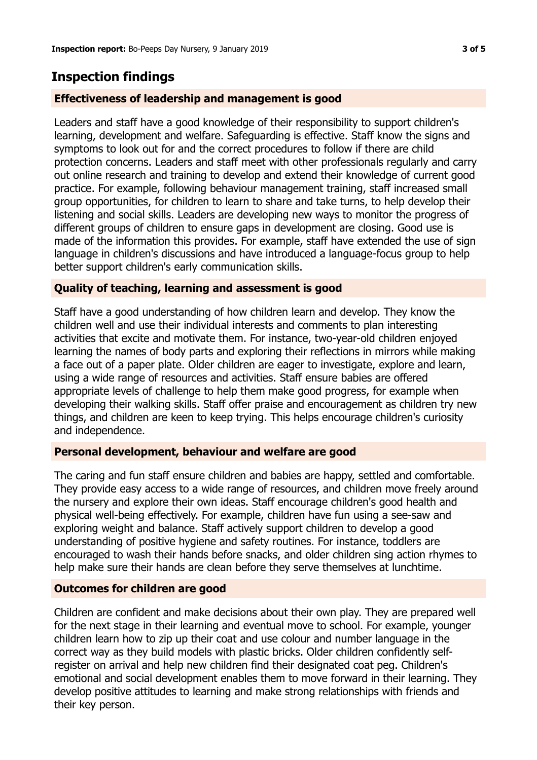# **Inspection findings**

### **Effectiveness of leadership and management is good**

Leaders and staff have a good knowledge of their responsibility to support children's learning, development and welfare. Safeguarding is effective. Staff know the signs and symptoms to look out for and the correct procedures to follow if there are child protection concerns. Leaders and staff meet with other professionals regularly and carry out online research and training to develop and extend their knowledge of current good practice. For example, following behaviour management training, staff increased small group opportunities, for children to learn to share and take turns, to help develop their listening and social skills. Leaders are developing new ways to monitor the progress of different groups of children to ensure gaps in development are closing. Good use is made of the information this provides. For example, staff have extended the use of sign language in children's discussions and have introduced a language-focus group to help better support children's early communication skills.

### **Quality of teaching, learning and assessment is good**

Staff have a good understanding of how children learn and develop. They know the children well and use their individual interests and comments to plan interesting activities that excite and motivate them. For instance, two-year-old children enjoyed learning the names of body parts and exploring their reflections in mirrors while making a face out of a paper plate. Older children are eager to investigate, explore and learn, using a wide range of resources and activities. Staff ensure babies are offered appropriate levels of challenge to help them make good progress, for example when developing their walking skills. Staff offer praise and encouragement as children try new things, and children are keen to keep trying. This helps encourage children's curiosity and independence.

#### **Personal development, behaviour and welfare are good**

The caring and fun staff ensure children and babies are happy, settled and comfortable. They provide easy access to a wide range of resources, and children move freely around the nursery and explore their own ideas. Staff encourage children's good health and physical well-being effectively. For example, children have fun using a see-saw and exploring weight and balance. Staff actively support children to develop a good understanding of positive hygiene and safety routines. For instance, toddlers are encouraged to wash their hands before snacks, and older children sing action rhymes to help make sure their hands are clean before they serve themselves at lunchtime.

#### **Outcomes for children are good**

Children are confident and make decisions about their own play. They are prepared well for the next stage in their learning and eventual move to school. For example, younger children learn how to zip up their coat and use colour and number language in the correct way as they build models with plastic bricks. Older children confidently selfregister on arrival and help new children find their designated coat peg. Children's emotional and social development enables them to move forward in their learning. They develop positive attitudes to learning and make strong relationships with friends and their key person.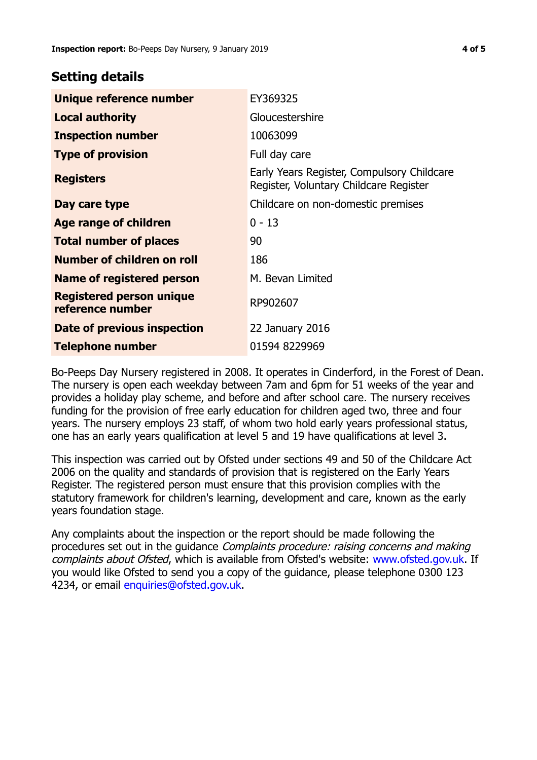## **Setting details**

| Unique reference number                             | EY369325                                                                             |  |
|-----------------------------------------------------|--------------------------------------------------------------------------------------|--|
| <b>Local authority</b>                              | Gloucestershire                                                                      |  |
| <b>Inspection number</b>                            | 10063099                                                                             |  |
| <b>Type of provision</b>                            | Full day care                                                                        |  |
| <b>Registers</b>                                    | Early Years Register, Compulsory Childcare<br>Register, Voluntary Childcare Register |  |
| Day care type                                       | Childcare on non-domestic premises                                                   |  |
| Age range of children                               | $0 - 13$                                                                             |  |
| <b>Total number of places</b>                       | 90                                                                                   |  |
| Number of children on roll                          | 186                                                                                  |  |
| Name of registered person                           | M. Bevan Limited                                                                     |  |
| <b>Registered person unique</b><br>reference number | RP902607                                                                             |  |
| Date of previous inspection                         | 22 January 2016                                                                      |  |
| <b>Telephone number</b>                             | 01594 8229969                                                                        |  |

Bo-Peeps Day Nursery registered in 2008. It operates in Cinderford, in the Forest of Dean. The nursery is open each weekday between 7am and 6pm for 51 weeks of the year and provides a holiday play scheme, and before and after school care. The nursery receives funding for the provision of free early education for children aged two, three and four years. The nursery employs 23 staff, of whom two hold early years professional status, one has an early years qualification at level 5 and 19 have qualifications at level 3.

This inspection was carried out by Ofsted under sections 49 and 50 of the Childcare Act 2006 on the quality and standards of provision that is registered on the Early Years Register. The registered person must ensure that this provision complies with the statutory framework for children's learning, development and care, known as the early years foundation stage.

Any complaints about the inspection or the report should be made following the procedures set out in the guidance Complaints procedure: raising concerns and making complaints about Ofsted, which is available from Ofsted's website: www.ofsted.gov.uk. If you would like Ofsted to send you a copy of the guidance, please telephone 0300 123 4234, or email [enquiries@ofsted.gov.uk.](mailto:enquiries@ofsted.gov.uk)